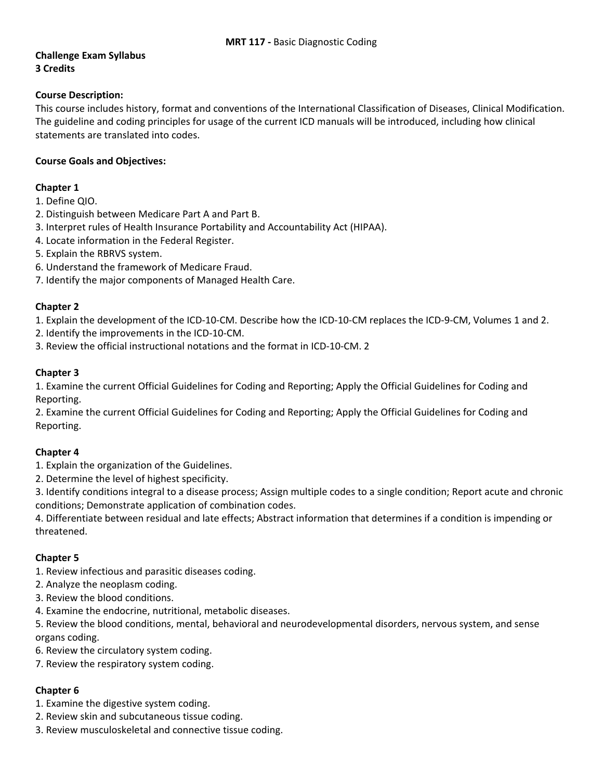# **Challenge Exam Syllabus 3 Credits**

### **Course Description:**

This course includes history, format and conventions of the International Classification of Diseases, Clinical Modification. The guideline and coding principles for usage of the current ICD manuals will be introduced, including how clinical statements are translated into codes.

### **Course Goals and Objectives:**

#### **Chapter 1**

- 1. Define QIO.
- 2. Distinguish between Medicare Part A and Part B.
- 3. Interpret rules of Health Insurance Portability and Accountability Act (HIPAA).
- 4. Locate information in the Federal Register.
- 5. Explain the RBRVS system.
- 6. Understand the framework of Medicare Fraud.
- 7. Identify the major components of Managed Health Care.

### **Chapter 2**

1. Explain the development of the ICD‐10‐CM. Describe how the ICD‐10‐CM replaces the ICD‐9‐CM, Volumes 1 and 2.

- 2. Identify the improvements in the ICD‐10‐CM.
- 3. Review the official instructional notations and the format in ICD‐10‐CM. 2

### **Chapter 3**

1. Examine the current Official Guidelines for Coding and Reporting; Apply the Official Guidelines for Coding and Reporting.

2. Examine the current Official Guidelines for Coding and Reporting; Apply the Official Guidelines for Coding and Reporting.

# **Chapter 4**

1. Explain the organization of the Guidelines.

2. Determine the level of highest specificity.

3. Identify conditions integral to a disease process; Assign multiple codes to a single condition; Report acute and chronic conditions; Demonstrate application of combination codes.

4. Differentiate between residual and late effects; Abstract information that determines if a condition is impending or threatened.

# **Chapter 5**

1. Review infectious and parasitic diseases coding.

- 2. Analyze the neoplasm coding.
- 3. Review the blood conditions.
- 4. Examine the endocrine, nutritional, metabolic diseases.

5. Review the blood conditions, mental, behavioral and neurodevelopmental disorders, nervous system, and sense organs coding.

- 6. Review the circulatory system coding.
- 7. Review the respiratory system coding.

# **Chapter 6**

1. Examine the digestive system coding.

- 2. Review skin and subcutaneous tissue coding.
- 3. Review musculoskeletal and connective tissue coding.